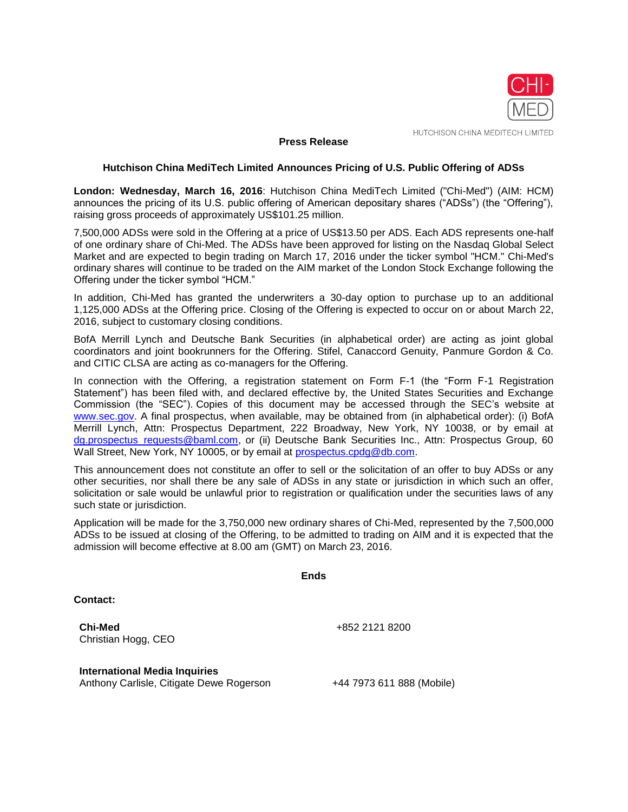

HUTCHISON CHINA MEDITECH LIMITED

## **Press Release**

#### **Hutchison China MediTech Limited Announces Pricing of U.S. Public Offering of ADSs**

**London: Wednesday, March 16, 2016**: Hutchison China MediTech Limited ("Chi-Med") (AIM: HCM) announces the pricing of its U.S. public offering of American depositary shares ("ADSs") (the "Offering"), raising gross proceeds of approximately US\$101.25 million.

7,500,000 ADSs were sold in the Offering at a price of US\$13.50 per ADS. Each ADS represents one-half of one ordinary share of Chi-Med. The ADSs have been approved for listing on the Nasdaq Global Select Market and are expected to begin trading on March 17, 2016 under the ticker symbol "HCM." Chi-Med's ordinary shares will continue to be traded on the AIM market of the London Stock Exchange following the Offering under the ticker symbol "HCM."

In addition, Chi-Med has granted the underwriters a 30-day option to purchase up to an additional 1,125,000 ADSs at the Offering price. Closing of the Offering is expected to occur on or about March 22, 2016, subject to customary closing conditions.

BofA Merrill Lynch and Deutsche Bank Securities (in alphabetical order) are acting as joint global coordinators and joint bookrunners for the Offering. Stifel, Canaccord Genuity, Panmure Gordon & Co. and CITIC CLSA are acting as co-managers for the Offering.

In connection with the Offering, a registration statement on Form F-1 (the "Form F-1 Registration Statement") has been filed with, and declared effective by, the United States Securities and Exchange Commission (the "SEC"). Copies of this document may be accessed through the SEC's website at [www.sec.gov.](http://www.sec.gov/) A final prospectus, when available, may be obtained from (in alphabetical order): (i) BofA Merrill Lynch, Attn: Prospectus Department, 222 Broadway, New York, NY 10038, or by email at [dg.prospectus\\_requests@baml.com,](mailto:dg.prospectus_requests@baml.com) or (ii) Deutsche Bank Securities Inc., Attn: Prospectus Group, 60 Wall Street, New York, NY 10005, or by email at [prospectus.cpdg@db.com.](mailto:prospectus.cpdg@db.com)

This announcement does not constitute an offer to sell or the solicitation of an offer to buy ADSs or any other securities, nor shall there be any sale of ADSs in any state or jurisdiction in which such an offer, solicitation or sale would be unlawful prior to registration or qualification under the securities laws of any such state or jurisdiction.

Application will be made for the 3,750,000 new ordinary shares of Chi-Med, represented by the 7,500,000 ADSs to be issued at closing of the Offering, to be admitted to trading on AIM and it is expected that the admission will become effective at 8.00 am (GMT) on March 23, 2016.

**Ends**

**Contact:**

**Chi-Med** Christian Hogg, CEO +852 2121 8200

**International Media Inquiries** Anthony Carlisle, Citigate Dewe Rogerson +44 7973 611 888 (Mobile)